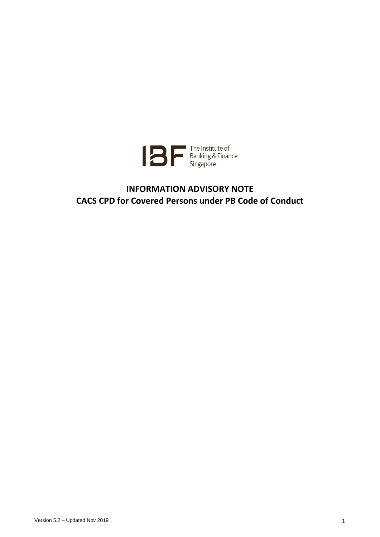

# **INFORMATION ADVISORY NOTE CACS CPD for Covered Persons under PB Code of Conduct**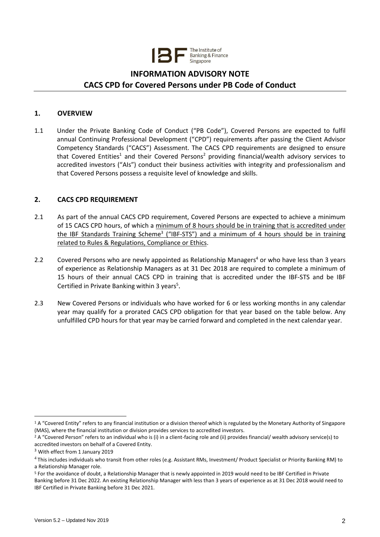

# **INFORMATION ADVISORY NOTE CACS CPD for Covered Persons under PB Code of Conduct**

# **1. OVERVIEW**

1.1 Under the Private Banking Code of Conduct ("PB Code"), Covered Persons are expected to fulfil annual Continuing Professional Development ("CPD") requirements after passing the Client Advisor Competency Standards ("CACS") Assessment. The CACS CPD requirements are designed to ensure that Covered Entities<sup>1</sup> and their Covered Persons<sup>2</sup> providing financial/wealth advisory services to accredited investors ("AIs") conduct their business activities with integrity and professionalism and that Covered Persons possess a requisite level of knowledge and skills.

# **2. CACS CPD REQUIREMENT**

- 2.1 As part of the annual CACS CPD requirement, Covered Persons are expected to achieve a minimum of 15 CACS CPD hours, of which a minimum of 8 hours should be in training that is accredited under the IBF Standards Training Scheme<sup>3</sup> ("IBF-STS") and a minimum of 4 hours should be in training related to Rules & Regulations, Compliance or Ethics.
- 2.2 Covered Persons who are newly appointed as Relationship Managers<sup>4</sup> or who have less than 3 years of experience as Relationship Managers as at 31 Dec 2018 are required to complete a minimum of 15 hours of their annual CACS CPD in training that is accredited under the IBF-STS and be IBF Certified in Private Banking within 3 years<sup>5</sup>.
- 2.3 New Covered Persons or individuals who have worked for 6 or less working months in any calendar year may qualify for a prorated CACS CPD obligation for that year based on the table below. Any unfulfilled CPD hours for that year may be carried forward and completed in the next calendar year.

<u>.</u>

<sup>&</sup>lt;sup>1</sup> A "Covered Entity" refers to any financial institution or a division thereof which is regulated by the Monetary Authority of Singapore (MAS), where the financial institution or division provides services to accredited investors.

<sup>&</sup>lt;sup>2</sup> A "Covered Person" refers to an individual who is (i) in a client-facing role and (ii) provides financial/ wealth advisory service(s) to accredited investors on behalf of a Covered Entity.

<sup>&</sup>lt;sup>3</sup> With effect from 1 January 2019

<sup>&</sup>lt;sup>4</sup> This includes individuals who transit from other roles (e.g. Assistant RMs, Investment/ Product Specialist or Priority Banking RM) to a Relationship Manager role.

<sup>5</sup> For the avoidance of doubt, a Relationship Manager that is newly appointed in 2019 would need to be IBF Certified in Private Banking before 31 Dec 2022. An existing Relationship Manager with less than 3 years of experience as at 31 Dec 2018 would need to IBF Certified in Private Banking before 31 Dec 2021.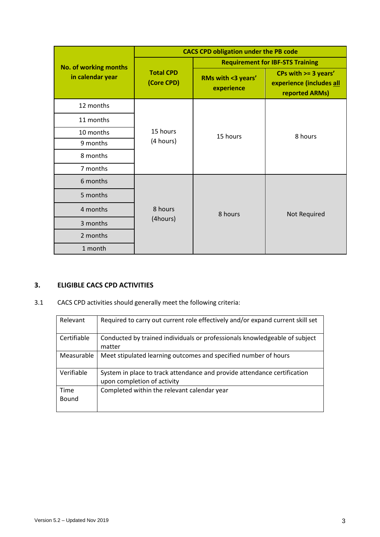|                                           | <b>CACS CPD obligation under the PB code</b> |                                         |                                                                    |
|-------------------------------------------|----------------------------------------------|-----------------------------------------|--------------------------------------------------------------------|
| No. of working months<br>in calendar year | <b>Total CPD</b><br>(Core CPD)               | <b>Requirement for IBF-STS Training</b> |                                                                    |
|                                           |                                              | RMs with <3 years'<br>experience        | CPs with >= 3 years'<br>experience (includes all<br>reported ARMs) |
| 12 months                                 | 15 hours<br>(4 hours)                        | 15 hours                                | 8 hours                                                            |
| 11 months                                 |                                              |                                         |                                                                    |
| 10 months                                 |                                              |                                         |                                                                    |
| 9 months                                  |                                              |                                         |                                                                    |
| 8 months                                  |                                              |                                         |                                                                    |
| 7 months                                  |                                              |                                         |                                                                    |
| 6 months                                  | 8 hours<br>(4hours)                          | 8 hours                                 | Not Required                                                       |
| 5 months                                  |                                              |                                         |                                                                    |
| 4 months                                  |                                              |                                         |                                                                    |
| 3 months                                  |                                              |                                         |                                                                    |
| 2 months                                  |                                              |                                         |                                                                    |
| 1 month                                   |                                              |                                         |                                                                    |

# **3. ELIGIBLE CACS CPD ACTIVITIES**

3.1 CACS CPD activities should generally meet the following criteria:

| Relevant             | Required to carry out current role effectively and/or expand current skill set                          |
|----------------------|---------------------------------------------------------------------------------------------------------|
| Certifiable          | Conducted by trained individuals or professionals knowledgeable of subject<br>matter                    |
| Measurable           | Meet stipulated learning outcomes and specified number of hours                                         |
| Verifiable           | System in place to track attendance and provide attendance certification<br>upon completion of activity |
| Time<br><b>Bound</b> | Completed within the relevant calendar year                                                             |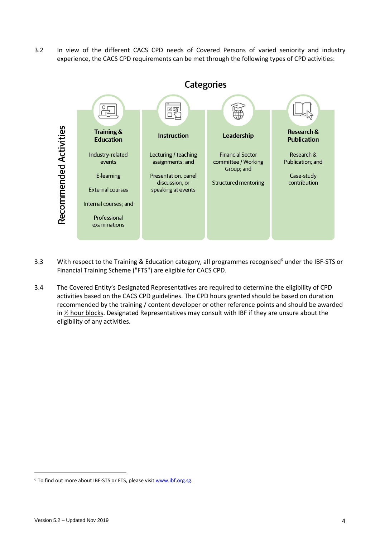3.2 In view of the different CACS CPD needs of Covered Persons of varied seniority and industry experience, the CACS CPD requirements can be met through the following types of CPD activities:



- 3.3 With respect to the Training & Education category, all programmes recognised<sup>6</sup> under the IBF-STS or Financial Training Scheme ("FTS") are eligible for CACS CPD.
- 3.4 The Covered Entity's Designated Representatives are required to determine the eligibility of CPD activities based on the CACS CPD guidelines. The CPD hours granted should be based on duration recommended by the training / content developer or other reference points and should be awarded in  $\frac{1}{2}$  hour blocks. Designated Representatives may consult with IBF if they are unsure about the eligibility of any activities.

1

<sup>&</sup>lt;sup>6</sup> To find out more about IBF-STS or FTS, please visit [www.ibf.org.sg.](http://www.ibf.org.sg/)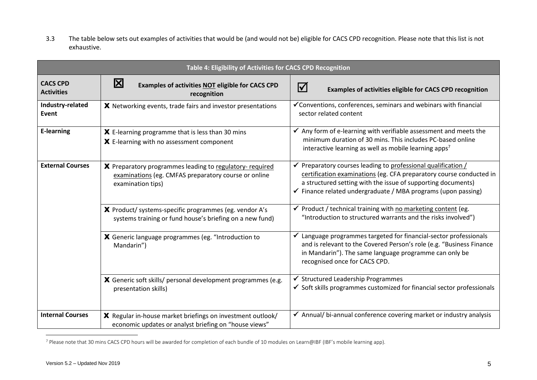3.3 The table below sets out examples of activities that would be (and would not be) eligible for CACS CPD recognition. Please note that this list is not exhaustive.

| Table 4: Eligibility of Activities for CACS CPD Recognition |                                                                                                                                       |                                                                                                                                                                                                                                                                     |  |  |
|-------------------------------------------------------------|---------------------------------------------------------------------------------------------------------------------------------------|---------------------------------------------------------------------------------------------------------------------------------------------------------------------------------------------------------------------------------------------------------------------|--|--|
| <b>CACS CPD</b><br><b>Activities</b>                        | $\mathbf{\mathbf{X}}$<br>Examples of activities NOT eligible for CACS CPD<br>recognition                                              | $\Delta$<br>Examples of activities eligible for CACS CPD recognition                                                                                                                                                                                                |  |  |
| Industry-related<br><b>Event</b>                            | X Networking events, trade fairs and investor presentations                                                                           | ✔ Conventions, conferences, seminars and webinars with financial<br>sector related content                                                                                                                                                                          |  |  |
| <b>E-learning</b>                                           | X E-learning programme that is less than 30 mins<br>X E-learning with no assessment component                                         | $\checkmark$ Any form of e-learning with verifiable assessment and meets the<br>minimum duration of 30 mins. This includes PC-based online<br>interactive learning as well as mobile learning apps <sup>7</sup>                                                     |  |  |
| <b>External Courses</b>                                     | X Preparatory programmes leading to regulatory- required<br>examinations (eg. CMFAS preparatory course or online<br>examination tips) | Preparatory courses leading to professional qualification /<br>certification examinations (eg. CFA preparatory course conducted in<br>a structured setting with the issue of supporting documents)<br>✔ Finance related undergraduate / MBA programs (upon passing) |  |  |
|                                                             | X Product/ systems-specific programmes (eg. vendor A's<br>systems training or fund house's briefing on a new fund)                    | ✔ Product / technical training with no marketing content (eg.<br>"Introduction to structured warrants and the risks involved")                                                                                                                                      |  |  |
|                                                             | X Generic language programmes (eg. "Introduction to<br>Mandarin")                                                                     | Language programmes targeted for financial-sector professionals<br>and is relevant to the Covered Person's role (e.g. "Business Finance<br>in Mandarin"). The same language programme can only be<br>recognised once for CACS CPD.                                  |  |  |
|                                                             | X Generic soft skills/ personal development programmes (e.g.<br>presentation skills)                                                  | ✔ Structured Leadership Programmes<br>$\checkmark$ Soft skills programmes customized for financial sector professionals                                                                                                                                             |  |  |
| <b>Internal Courses</b>                                     | X Regular in-house market briefings on investment outlook/<br>economic updates or analyst briefing on "house views"                   | ✔ Annual/ bi-annual conference covering market or industry analysis                                                                                                                                                                                                 |  |  |

<sup>7</sup> Please note that 30 mins CACS CPD hours will be awarded for completion of each bundle of 10 modules on Learn@IBF (IBF's mobile learning app).

 $\overline{a}$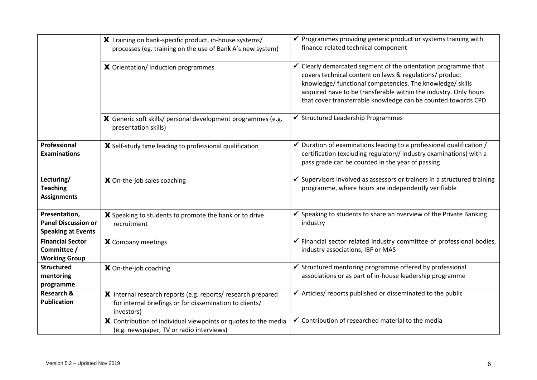|                                                                          | X Training on bank-specific product, in-house systems/<br>processes (eg. training on the use of Bank A's new system)                  | $\checkmark$ Programmes providing generic product or systems training with<br>finance-related technical component                                                                                                                                                                                                         |
|--------------------------------------------------------------------------|---------------------------------------------------------------------------------------------------------------------------------------|---------------------------------------------------------------------------------------------------------------------------------------------------------------------------------------------------------------------------------------------------------------------------------------------------------------------------|
|                                                                          | X Orientation/ induction programmes                                                                                                   | Clearly demarcated segment of the orientation programme that<br>covers technical content on laws & regulations/ product<br>knowledge/ functional competencies. The knowledge/ skills<br>acquired have to be transferable within the industry. Only hours<br>that cover transferrable knowledge can be counted towards CPD |
|                                                                          | X Generic soft skills/ personal development programmes (e.g.<br>presentation skills)                                                  | ✔ Structured Leadership Programmes                                                                                                                                                                                                                                                                                        |
| Professional<br><b>Examinations</b>                                      | X Self-study time leading to professional qualification                                                                               | $\checkmark$ Duration of examinations leading to a professional qualification /<br>certification (excluding regulatory/ industry examinations) with a<br>pass grade can be counted in the year of passing                                                                                                                 |
| Lecturing/<br><b>Teaching</b><br><b>Assignments</b>                      | X On-the-job sales coaching                                                                                                           | Supervisors involved as assessors or trainers in a structured training<br>programme, where hours are independently verifiable                                                                                                                                                                                             |
| Presentation,<br><b>Panel Discussion or</b><br><b>Speaking at Events</b> | X Speaking to students to promote the bank or to drive<br>recruitment                                                                 | Speaking to students to share an overview of the Private Banking<br>industry                                                                                                                                                                                                                                              |
| <b>Financial Sector</b><br>Committee /<br><b>Working Group</b>           | X Company meetings                                                                                                                    | $\checkmark$ Financial sector related industry committee of professional bodies,<br>industry associations, IBF or MAS                                                                                                                                                                                                     |
| <b>Structured</b><br>mentoring<br>programme                              | X On-the-job coaching                                                                                                                 | ✔ Structured mentoring programme offered by professional<br>associations or as part of in-house leadership programme                                                                                                                                                                                                      |
| <b>Research &amp;</b><br><b>Publication</b>                              | X Internal research reports (e.g. reports/ research prepared<br>for internal briefings or for dissemination to clients/<br>investors) | ✔ Articles/ reports published or disseminated to the public                                                                                                                                                                                                                                                               |
|                                                                          | X Contribution of individual viewpoints or quotes to the media<br>(e.g. newspaper, TV or radio interviews)                            | ✔ Contribution of researched material to the media                                                                                                                                                                                                                                                                        |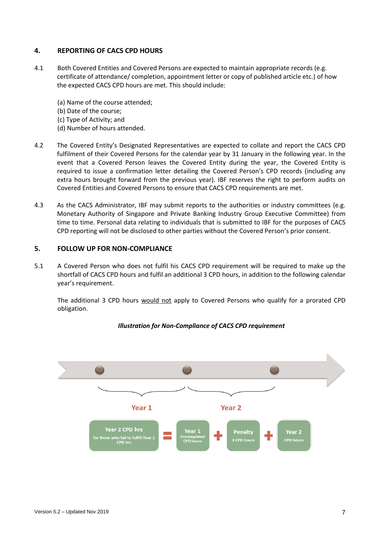# **4. REPORTING OF CACS CPD HOURS**

- 4.1 Both Covered Entities and Covered Persons are expected to maintain appropriate records (e.g. certificate of attendance/ completion, appointment letter or copy of published article etc.) of how the expected CACS CPD hours are met. This should include:
	- (a) Name of the course attended;
	- (b) Date of the course;
	- (c) Type of Activity; and
	- (d) Number of hours attended.
- 4.2 The Covered Entity's Designated Representatives are expected to collate and report the CACS CPD fulfilment of their Covered Persons for the calendar year by 31 January in the following year. In the event that a Covered Person leaves the Covered Entity during the year, the Covered Entity is required to issue a confirmation letter detailing the Covered Person's CPD records (including any extra hours brought forward from the previous year). IBF reserves the right to perform audits on Covered Entities and Covered Persons to ensure that CACS CPD requirements are met.
- 4.3 As the CACS Administrator, IBF may submit reports to the authorities or industry committees (e.g. Monetary Authority of Singapore and Private Banking Industry Group Executive Committee) from time to time. Personal data relating to individuals that is submitted to IBF for the purposes of CACS CPD reporting will not be disclosed to other parties without the Covered Person's prior consent.

#### **5. FOLLOW UP FOR NON-COMPLIANCE**

5.1 A Covered Person who does not fulfil his CACS CPD requirement will be required to make up the shortfall of CACS CPD hours and fulfil an additional 3 CPD hours, in addition to the following calendar year's requirement.

The additional 3 CPD hours would not apply to Covered Persons who qualify for a prorated CPD obligation.



*Illustration for Non-Compliance of CACS CPD requirement*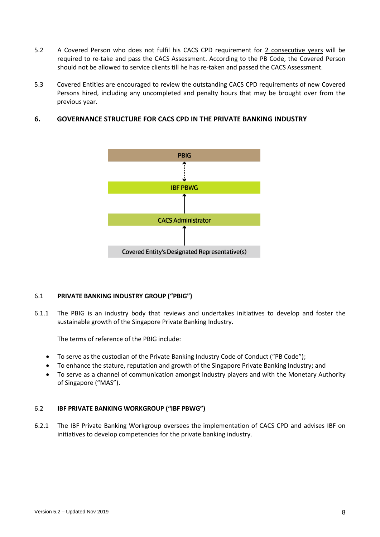- 5.2 A Covered Person who does not fulfil his CACS CPD requirement for 2 consecutive years will be required to re-take and pass the CACS Assessment. According to the PB Code, the Covered Person should not be allowed to service clients till he has re-taken and passed the CACS Assessment.
- 5.3 Covered Entities are encouraged to review the outstanding CACS CPD requirements of new Covered Persons hired, including any uncompleted and penalty hours that may be brought over from the previous year.

# **6. GOVERNANCE STRUCTURE FOR CACS CPD IN THE PRIVATE BANKING INDUSTRY**



# 6.1 **PRIVATE BANKING INDUSTRY GROUP ("PBIG")**

6.1.1 The PBIG is an industry body that reviews and undertakes initiatives to develop and foster the sustainable growth of the Singapore Private Banking Industry.

The terms of reference of the PBIG include:

- To serve as the custodian of the Private Banking Industry Code of Conduct ("PB Code");
- To enhance the stature, reputation and growth of the Singapore Private Banking Industry; and
- To serve as a channel of communication amongst industry players and with the Monetary Authority of Singapore ("MAS").

# 6.2 **IBF PRIVATE BANKING WORKGROUP ("IBF PBWG")**

6.2.1 The IBF Private Banking Workgroup oversees the implementation of CACS CPD and advises IBF on initiatives to develop competencies for the private banking industry.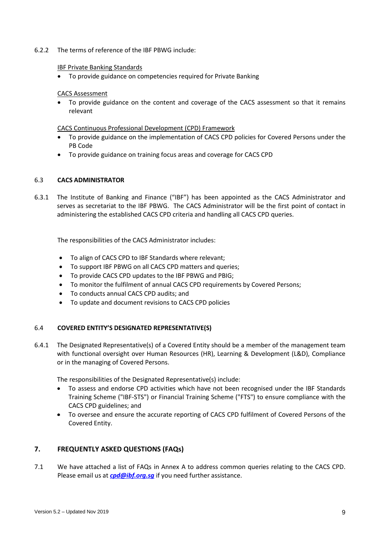## 6.2.2 The terms of reference of the IBF PBWG include:

#### IBF Private Banking Standards

• To provide guidance on competencies required for Private Banking

#### CACS Assessment

• To provide guidance on the content and coverage of the CACS assessment so that it remains relevant

#### CACS Continuous Professional Development (CPD) Framework

- To provide guidance on the implementation of CACS CPD policies for Covered Persons under the PB Code
- To provide guidance on training focus areas and coverage for CACS CPD

#### 6.3 **CACS ADMINISTRATOR**

6.3.1 The Institute of Banking and Finance ("IBF") has been appointed as the CACS Administrator and serves as secretariat to the IBF PBWG. The CACS Administrator will be the first point of contact in administering the established CACS CPD criteria and handling all CACS CPD queries.

The responsibilities of the CACS Administrator includes:

- To align of CACS CPD to IBF Standards where relevant;
- To support IBF PBWG on all CACS CPD matters and queries;
- To provide CACS CPD updates to the IBF PBWG and PBIG;
- To monitor the fulfilment of annual CACS CPD requirements by Covered Persons;
- To conducts annual CACS CPD audits; and
- To update and document revisions to CACS CPD policies

## 6.4 **COVERED ENTITY'S DESIGNATED REPRESENTATIVE(S)**

6.4.1 The Designated Representative(s) of a Covered Entity should be a member of the management team with functional oversight over Human Resources (HR), Learning & Development (L&D), Compliance or in the managing of Covered Persons.

The responsibilities of the Designated Representative(s) include:

- To assess and endorse CPD activities which have not been recognised under the IBF Standards Training Scheme ("IBF-STS") or Financial Training Scheme ("FTS") to ensure compliance with the CACS CPD guidelines; and
- To oversee and ensure the accurate reporting of CACS CPD fulfilment of Covered Persons of the Covered Entity.

# **7. FREQUENTLY ASKED QUESTIONS (FAQs)**

7.1 We have attached a list of FAQs in Annex A to address common queries relating to the CACS CPD. Please email us at *[cpd@ibf.org.sg](mailto:cacs@ibf.org.sg)* if you need further assistance.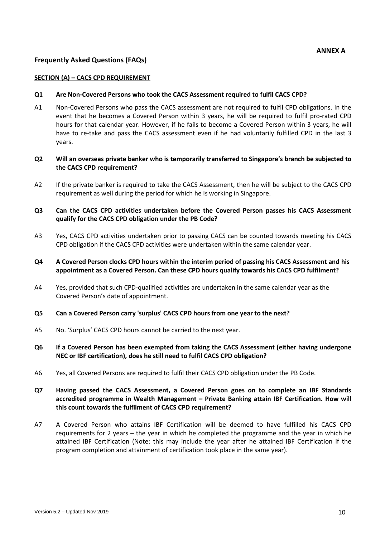# **Frequently Asked Questions (FAQs)**

#### **SECTION (A) – CACS CPD REQUIREMENT**

#### **Q1 Are Non-Covered Persons who took the CACS Assessment required to fulfil CACS CPD?**

A1 Non-Covered Persons who pass the CACS assessment are not required to fulfil CPD obligations. In the event that he becomes a Covered Person within 3 years, he will be required to fulfil pro-rated CPD hours for that calendar year. However, if he fails to become a Covered Person within 3 years, he will have to re-take and pass the CACS assessment even if he had voluntarily fulfilled CPD in the last 3 years.

# **Q2 Will an overseas private banker who is temporarily transferred to Singapore's branch be subjected to the CACS CPD requirement?**

A2 If the private banker is required to take the CACS Assessment, then he will be subject to the CACS CPD requirement as well during the period for which he is working in Singapore.

# **Q3 Can the CACS CPD activities undertaken before the Covered Person passes his CACS Assessment qualify for the CACS CPD obligation under the PB Code?**

A3 Yes, CACS CPD activities undertaken prior to passing CACS can be counted towards meeting his CACS CPD obligation if the CACS CPD activities were undertaken within the same calendar year.

## **Q4 A Covered Person clocks CPD hours within the interim period of passing his CACS Assessment and his appointment as a Covered Person. Can these CPD hours qualify towards his CACS CPD fulfilment?**

A4 Yes, provided that such CPD-qualified activities are undertaken in the same calendar year as the Covered Person's date of appointment.

#### **Q5 Can a Covered Person carry 'surplus' CACS CPD hours from one year to the next?**

A5 No. 'Surplus' CACS CPD hours cannot be carried to the next year.

## **Q6 If a Covered Person has been exempted from taking the CACS Assessment (either having undergone NEC or IBF certification), does he still need to fulfil CACS CPD obligation?**

A6 Yes, all Covered Persons are required to fulfil their CACS CPD obligation under the PB Code.

# **Q7 Having passed the CACS Assessment, a Covered Person goes on to complete an IBF Standards accredited programme in Wealth Management – Private Banking attain IBF Certification. How will this count towards the fulfilment of CACS CPD requirement?**

A7 A Covered Person who attains IBF Certification will be deemed to have fulfilled his CACS CPD requirements for 2 years – the year in which he completed the programme and the year in which he attained IBF Certification (Note: this may include the year after he attained IBF Certification if the program completion and attainment of certification took place in the same year).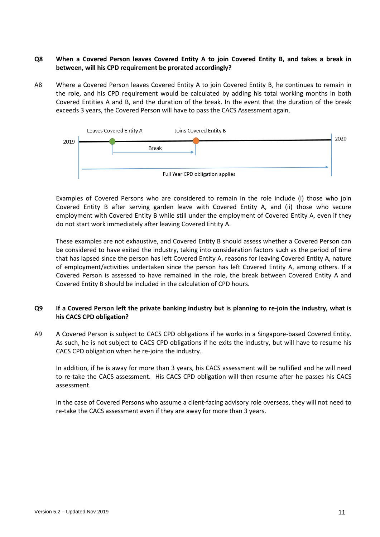# **Q8 When a Covered Person leaves Covered Entity A to join Covered Entity B, and takes a break in between, will his CPD requirement be prorated accordingly?**

A8 Where a Covered Person leaves Covered Entity A to join Covered Entity B, he continues to remain in the role, and his CPD requirement would be calculated by adding his total working months in both Covered Entities A and B, and the duration of the break. In the event that the duration of the break exceeds 3 years, the Covered Person will have to pass the CACS Assessment again.



Examples of Covered Persons who are considered to remain in the role include (i) those who join Covered Entity B after serving garden leave with Covered Entity A, and (ii) those who secure employment with Covered Entity B while still under the employment of Covered Entity A, even if they do not start work immediately after leaving Covered Entity A.

These examples are not exhaustive, and Covered Entity B should assess whether a Covered Person can be considered to have exited the industry, taking into consideration factors such as the period of time that has lapsed since the person has left Covered Entity A, reasons for leaving Covered Entity A, nature of employment/activities undertaken since the person has left Covered Entity A, among others. If a Covered Person is assessed to have remained in the role, the break between Covered Entity A and Covered Entity B should be included in the calculation of CPD hours.

# **Q9 If a Covered Person left the private banking industry but is planning to re-join the industry, what is his CACS CPD obligation?**

A9 A Covered Person is subject to CACS CPD obligations if he works in a Singapore-based Covered Entity. As such, he is not subject to CACS CPD obligations if he exits the industry, but will have to resume his CACS CPD obligation when he re-joins the industry.

In addition, if he is away for more than 3 years, his CACS assessment will be nullified and he will need to re-take the CACS assessment. His CACS CPD obligation will then resume after he passes his CACS assessment.

In the case of Covered Persons who assume a client-facing advisory role overseas, they will not need to re-take the CACS assessment even if they are away for more than 3 years.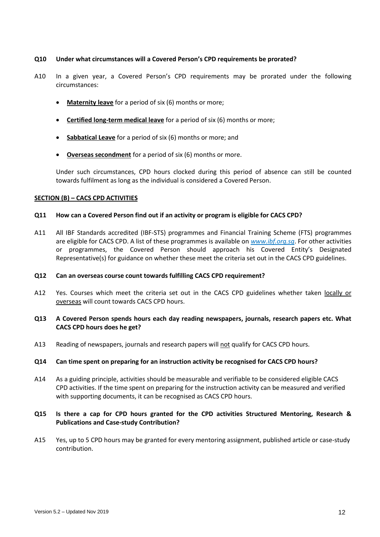#### **Q10 Under what circumstances will a Covered Person's CPD requirements be prorated?**

- A10 In a given year, a Covered Person's CPD requirements may be prorated under the following circumstances:
	- **Maternity leave** for a period of six (6) months or more;
	- **Certified long-term medical leave** for a period of six (6) months or more;
	- **Sabbatical Leave** for a period of six (6) months or more; and
	- **Overseas secondment** for a period of six (6) months or more.

Under such circumstances, CPD hours clocked during this period of absence can still be counted towards fulfilment as long as the individual is considered a Covered Person.

#### **SECTION (B) – CACS CPD ACTIVITIES**

#### **Q11 How can a Covered Person find out if an activity or program is eligible for CACS CPD?**

A11 All IBF Standards accredited (IBF-STS) programmes and Financial Training Scheme (FTS) programmes are eligible for CACS CPD. A list of these programmes is available on *www.ibf.org.sg*. For other activities or programmes, the Covered Person should approach his Covered Entity's Designated Representative(s) for guidance on whether these meet the criteria set out in the CACS CPD guidelines.

## **Q12 Can an overseas course count towards fulfilling CACS CPD requirement?**

A12 Yes. Courses which meet the criteria set out in the CACS CPD guidelines whether taken locally or overseas will count towards CACS CPD hours.

## **Q13 A Covered Person spends hours each day reading newspapers, journals, research papers etc. What CACS CPD hours does he get?**

A13 Reading of newspapers, journals and research papers will not qualify for CACS CPD hours.

## **Q14 Can time spent on preparing for an instruction activity be recognised for CACS CPD hours?**

A14 As a guiding principle, activities should be measurable and verifiable to be considered eligible CACS CPD activities. If the time spent on preparing for the instruction activity can be measured and verified with supporting documents, it can be recognised as CACS CPD hours.

# **Q15 Is there a cap for CPD hours granted for the CPD activities Structured Mentoring, Research & Publications and Case-study Contribution?**

A15 Yes, up to 5 CPD hours may be granted for every mentoring assignment, published article or case-study contribution.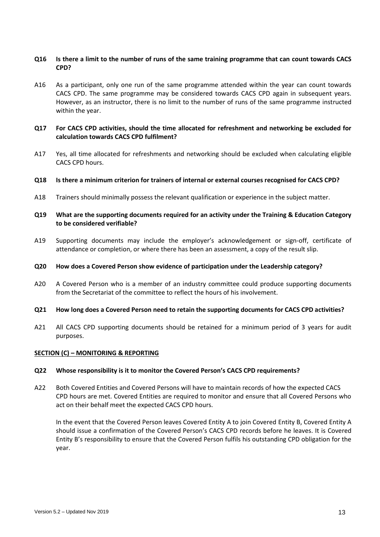## **Q16 Is there a limit to the number of runs of the same training programme that can count towards CACS CPD?**

A16 As a participant, only one run of the same programme attended within the year can count towards CACS CPD. The same programme may be considered towards CACS CPD again in subsequent years. However, as an instructor, there is no limit to the number of runs of the same programme instructed within the year.

# **Q17 For CACS CPD activities, should the time allocated for refreshment and networking be excluded for calculation towards CACS CPD fulfilment?**

- A17 Yes, all time allocated for refreshments and networking should be excluded when calculating eligible CACS CPD hours.
- **Q18 Is there a minimum criterion for trainers of internal or external courses recognised for CACS CPD?**
- A18 Trainers should minimally possess the relevant qualification or experience in the subject matter.

## **Q19 What are the supporting documents required for an activity under the Training & Education Category to be considered verifiable?**

A19 Supporting documents may include the employer's acknowledgement or sign-off, certificate of attendance or completion, or where there has been an assessment, a copy of the result slip.

#### **Q20 How does a Covered Person show evidence of participation under the Leadership category?**

- A20 A Covered Person who is a member of an industry committee could produce supporting documents from the Secretariat of the committee to reflect the hours of his involvement.
- **Q21 [How long does a Covered Person need to retain the supporting documents for CACS CPD activities?](http://www.aiaworldwide.com/cpd/cpd-faqs.html#FAQ6)**
- A21 All CACS CPD supporting documents should be retained for a minimum period of 3 years for audit purposes.

#### **SECTION (C) – MONITORING & REPORTING**

#### **Q22 Whose responsibility is it to monitor the Covered Person's CACS CPD requirements?**

A22 Both Covered Entities and Covered Persons will have to maintain records of how the expected CACS CPD hours are met. Covered Entities are required to monitor and ensure that all Covered Persons who act on their behalf meet the expected CACS CPD hours.

In the event that the Covered Person leaves Covered Entity A to join Covered Entity B, Covered Entity A should issue a confirmation of the Covered Person's CACS CPD records before he leaves. It is Covered Entity B's responsibility to ensure that the Covered Person fulfils his outstanding CPD obligation for the year.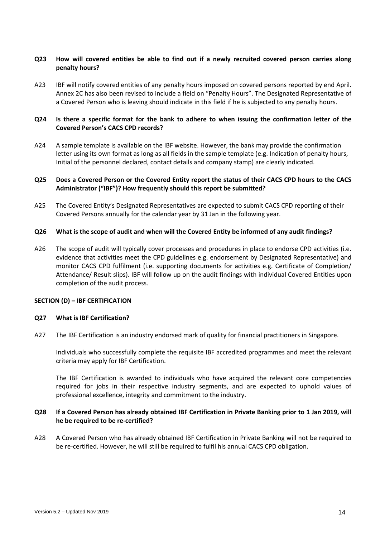# **Q23 How will covered entities be able to find out if a newly recruited covered person carries along penalty hours?**

A23 IBF will notify covered entities of any penalty hours imposed on covered persons reported by end April. Annex 2C has also been revised to include a field on "Penalty Hours". The Designated Representative of a Covered Person who is leaving should indicate in this field if he is subjected to any penalty hours.

# **Q24 Is there a specific format for the bank to adhere to when issuing the confirmation letter of the Covered Person's CACS CPD records?**

A24 A sample template is available on the IBF website. However, the bank may provide the confirmation letter using its own format as long as all fields in the sample template (e.g. Indication of penalty hours, Initial of the personnel declared, contact details and company stamp) are clearly indicated.

# **Q25 Does a Covered Person or the Covered Entity report the status of their CACS CPD hours to the CACS Administrator ("IBF")? How frequently should this report be submitted?**

A25 The Covered Entity's Designated Representatives are expected to submit CACS CPD reporting of their Covered Persons annually for the calendar year by 31 Jan in the following year.

## **Q26 What is the scope of audit and when will the Covered Entity be informed of any audit findings?**

A26 The scope of audit will typically cover processes and procedures in place to endorse CPD activities (i.e. evidence that activities meet the CPD guidelines e.g. endorsement by Designated Representative) and monitor CACS CPD fulfilment (i.e. supporting documents for activities e.g. Certificate of Completion/ Attendance/ Result slips). IBF will follow up on the audit findings with individual Covered Entities upon completion of the audit process.

## **SECTION (D) – IBF CERTIFICATION**

#### **Q27 What is IBF Certification?**

A27 The IBF Certification is an industry endorsed mark of quality for financial practitioners in Singapore.

Individuals who successfully complete the requisite IBF accredited programmes and meet the relevant criteria may apply for IBF Certification.

The IBF Certification is awarded to individuals who have acquired the relevant core competencies required for jobs in their respective industry segments, and are expected to uphold values of professional excellence, integrity and commitment to the industry.

## **Q28 If a Covered Person has already obtained IBF Certification in Private Banking prior to 1 Jan 2019, will he be required to be re-certified?**

A28 A Covered Person who has already obtained IBF Certification in Private Banking will not be required to be re-certified. However, he will still be required to fulfil his annual CACS CPD obligation.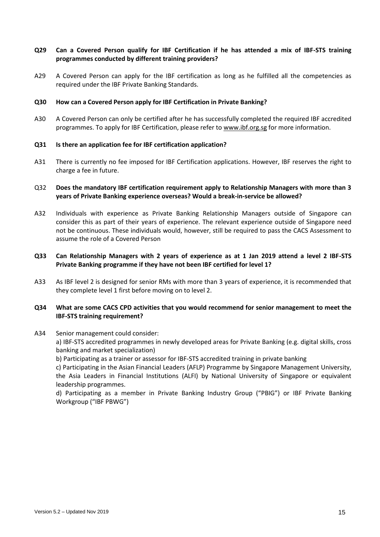# **Q29 Can a Covered Person qualify for IBF Certification if he has attended a mix of IBF-STS training programmes conducted by different training providers?**

A29 A Covered Person can apply for the IBF certification as long as he fulfilled all the competencies as required under the IBF Private Banking Standards.

#### **Q30 How can a Covered Person apply for IBF Certification in Private Banking?**

A30 A Covered Person can only be certified after he has successfully completed the required IBF accredited programmes. To apply for IBF Certification, please refer to [www.ibf.org.sg](http://www.ibf.org.sg/) for more information.

#### **Q31 Is there an application fee for IBF certification application?**

A31 There is currently no fee imposed for IBF Certification applications. However, IBF reserves the right to charge a fee in future.

# Q32 **Does the mandatory IBF certification requirement apply to Relationship Managers with more than 3 years of Private Banking experience overseas? Would a break-in-service be allowed?**

- A32 Individuals with experience as Private Banking Relationship Managers outside of Singapore can consider this as part of their years of experience. The relevant experience outside of Singapore need not be continuous. These individuals would, however, still be required to pass the CACS Assessment to assume the role of a Covered Person
- **Q33 Can Relationship Managers with 2 years of experience as at 1 Jan 2019 attend a level 2 IBF-STS Private Banking programme if they have not been IBF certified for level 1?**
- A33 As IBF level 2 is designed for senior RMs with more than 3 years of experience, it is recommended that they complete level 1 first before moving on to level 2.

## **Q34 What are some CACS CPD activities that you would recommend for senior management to meet the IBF-STS training requirement?**

#### A34 Senior management could consider:

a) IBF-STS accredited programmes in newly developed areas for Private Banking (e.g. digital skills, cross banking and market specialization)

b) Participating as a trainer or assessor for IBF-STS accredited training in private banking

c) Participating in the Asian Financial Leaders (AFLP) Programme by Singapore Management University, the Asia Leaders in Financial Institutions (ALFI) by National University of Singapore or equivalent leadership programmes.

d) Participating as a member in Private Banking Industry Group ("PBIG") or IBF Private Banking Workgroup ("IBF PBWG")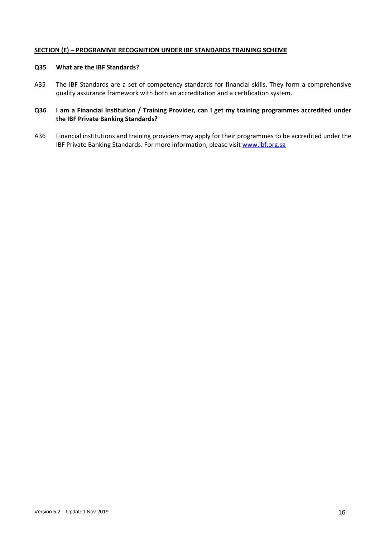## **SECTION (E) – PROGRAMME RECOGNITION UNDER IBF STANDARDS TRAINING SCHEME**

#### **Q35 What are the IBF Standards?**

A35 The IBF Standards are a set of competency standards for financial skills. They form a comprehensive quality assurance framework with both an accreditation and a certification system.

# **Q36 I am a Financial Institution / Training Provider, can I get my training programmes accredited under the IBF Private Banking Standards?**

A36 Financial institutions and training providers may apply for their programmes to be accredited under the IBF Private Banking Standards. For more information, please visi[t www.ibf.org.sg](http://www.ibf.org.sg/)